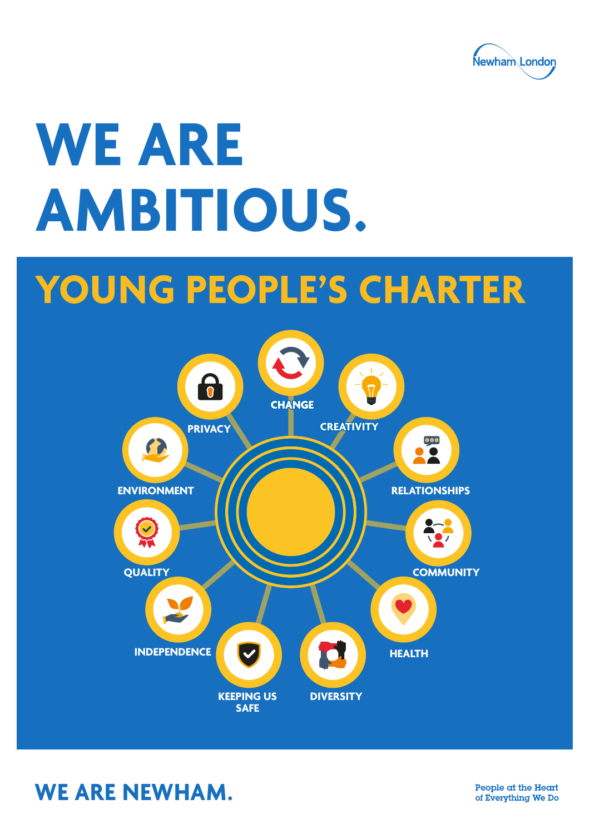

# **WE ARE AMBITIOUS.**

## **YOUNG PEOPLE'S CHARTER**



**WE ARE NEWHAM.**

People at the Heart of Everything We Do